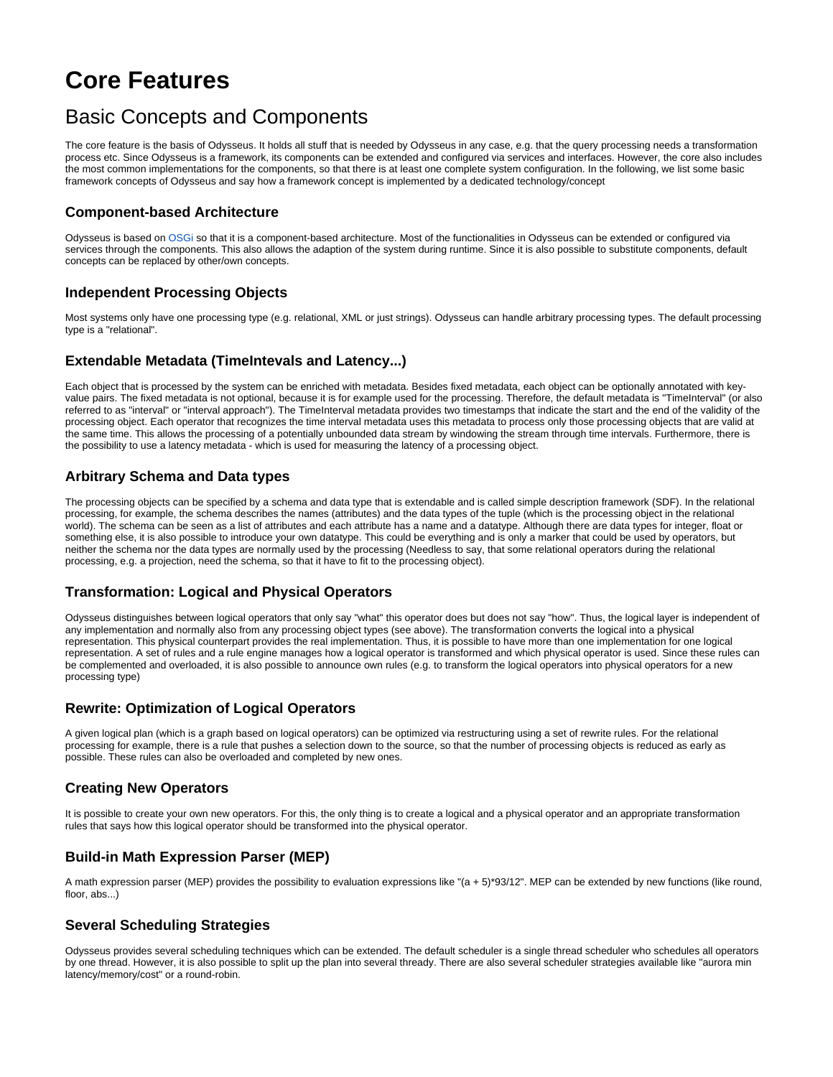# **Core Features**

# Basic Concepts and Components

The core feature is the basis of Odysseus. It holds all stuff that is needed by Odysseus in any case, e.g. that the query processing needs a transformation process etc. Since Odysseus is a framework, its components can be extended and configured via services and interfaces. However, the core also includes the most common implementations for the components, so that there is at least one complete system configuration. In the following, we list some basic framework concepts of Odysseus and say how a framework concept is implemented by a dedicated technology/concept

# **Component-based Architecture**

Odysseus is based on [OSGi](https://en.wikipedia.org/wiki/Osgi) so that it is a component-based architecture. Most of the functionalities in Odysseus can be extended or configured via services through the components. This also allows the adaption of the system during runtime. Since it is also possible to substitute components, default concepts can be replaced by other/own concepts.

# **Independent Processing Objects**

Most systems only have one processing type (e.g. relational, XML or just strings). Odysseus can handle arbitrary processing types. The default processing type is a "relational".

#### **Extendable Metadata (TimeIntevals and Latency...)**

Each object that is processed by the system can be enriched with metadata. Besides fixed metadata, each object can be optionally annotated with keyvalue pairs. The fixed metadata is not optional, because it is for example used for the processing. Therefore, the default metadata is "TimeInterval" (or also referred to as "interval" or "interval approach"). The TimeInterval metadata provides two timestamps that indicate the start and the end of the validity of the processing object. Each operator that recognizes the time interval metadata uses this metadata to process only those processing objects that are valid at the same time. This allows the processing of a potentially unbounded data stream by windowing the stream through time intervals. Furthermore, there is the possibility to use a latency metadata - which is used for measuring the latency of a processing object.

# **Arbitrary Schema and Data types**

The processing objects can be specified by a schema and data type that is extendable and is called simple description framework (SDF). In the relational processing, for example, the schema describes the names (attributes) and the data types of the tuple (which is the processing object in the relational world). The schema can be seen as a list of attributes and each attribute has a name and a datatype. Although there are data types for integer, float or something else, it is also possible to introduce your own datatype. This could be everything and is only a marker that could be used by operators, but neither the schema nor the data types are normally used by the processing (Needless to say, that some relational operators during the relational processing, e.g. a projection, need the schema, so that it have to fit to the processing object).

#### **Transformation: Logical and Physical Operators**

Odysseus distinguishes between logical operators that only say "what" this operator does but does not say "how". Thus, the logical layer is independent of any implementation and normally also from any processing object types (see above). The transformation converts the logical into a physical representation. This physical counterpart provides the real implementation. Thus, it is possible to have more than one implementation for one logical representation. A set of rules and a rule engine manages how a logical operator is transformed and which physical operator is used. Since these rules can be complemented and overloaded, it is also possible to announce own rules (e.g. to transform the logical operators into physical operators for a new processing type)

#### **Rewrite: Optimization of Logical Operators**

A given logical plan (which is a graph based on logical operators) can be optimized via restructuring using a set of rewrite rules. For the relational processing for example, there is a rule that pushes a selection down to the source, so that the number of processing objects is reduced as early as possible. These rules can also be overloaded and completed by new ones.

# **Creating New Operators**

It is possible to create your own new operators. For this, the only thing is to create a logical and a physical operator and an appropriate transformation rules that says how this logical operator should be transformed into the physical operator.

# **Build-in Math Expression Parser (MEP)**

A math expression parser (MEP) provides the possibility to evaluation expressions like "(a + 5)\*93/12". MEP can be extended by new functions (like round, floor, abs...)

#### **Several Scheduling Strategies**

Odysseus provides several scheduling techniques which can be extended. The default scheduler is a single thread scheduler who schedules all operators by one thread. However, it is also possible to split up the plan into several thready. There are also several scheduler strategies available like "aurora min latency/memory/cost" or a round-robin.